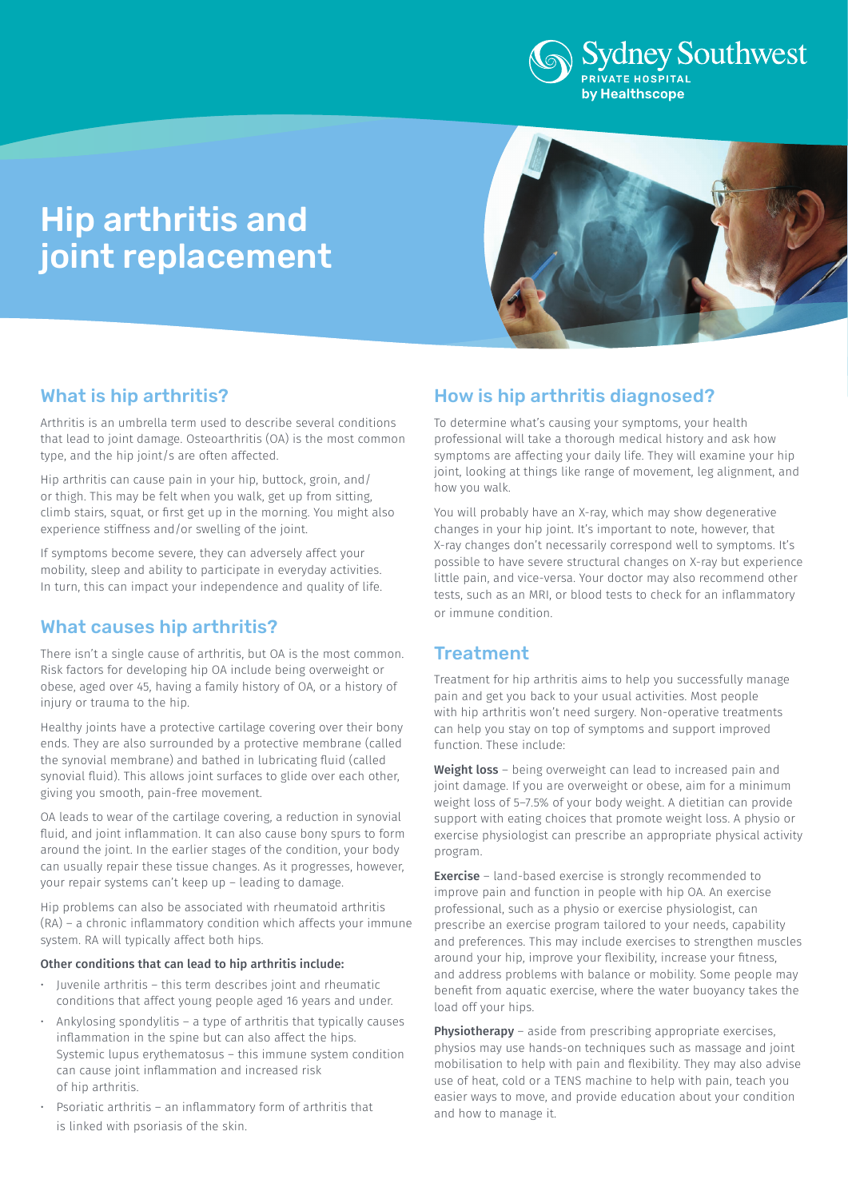

# Hip arthritis and joint replacement



### What is hip arthritis?

Arthritis is an umbrella term used to describe several conditions that lead to joint damage. Osteoarthritis (OA) is the most common type, and the hip joint/s are often affected.

Hip arthritis can cause pain in your hip, buttock, groin, and/ or thigh. This may be felt when you walk, get up from sitting, climb stairs, squat, or first get up in the morning. You might also experience stiffness and/or swelling of the joint.

If symptoms become severe, they can adversely affect your mobility, sleep and ability to participate in everyday activities. In turn, this can impact your independence and quality of life.

## What causes hip arthritis?

There isn't a single cause of arthritis, but OA is the most common. Risk factors for developing hip OA include being overweight or obese, aged over 45, having a family history of OA, or a history of injury or trauma to the hip.

Healthy joints have a protective cartilage covering over their bony ends. They are also surrounded by a protective membrane (called the synovial membrane) and bathed in lubricating fluid (called synovial fluid). This allows joint surfaces to glide over each other, giving you smooth, pain-free movement.

OA leads to wear of the cartilage covering, a reduction in synovial fluid, and joint inflammation. It can also cause bony spurs to form around the joint. In the earlier stages of the condition, your body can usually repair these tissue changes. As it progresses, however, your repair systems can't keep up – leading to damage.

Hip problems can also be associated with rheumatoid arthritis (RA) – a chronic inflammatory condition which affects your immune system. RA will typically affect both hips.

#### Other conditions that can lead to hip arthritis include:

- Juvenile arthritis this term describes joint and rheumatic conditions that affect young people aged 16 years and under.
- Ankylosing spondylitis a type of arthritis that typically causes inflammation in the spine but can also affect the hips. Systemic lupus erythematosus – this immune system condition can cause joint inflammation and increased risk of hip arthritis.
- Psoriatic arthritis an inflammatory form of arthritis that is linked with psoriasis of the skin.

# How is hip arthritis diagnosed?

To determine what's causing your symptoms, your health professional will take a thorough medical history and ask how symptoms are affecting your daily life. They will examine your hip joint, looking at things like range of movement, leg alignment, and how you walk.

You will probably have an X-ray, which may show degenerative changes in your hip joint. It's important to note, however, that X-ray changes don't necessarily correspond well to symptoms. It's possible to have severe structural changes on X-ray but experience little pain, and vice-versa. Your doctor may also recommend other tests, such as an MRI, or blood tests to check for an inflammatory or immune condition.

### **Treatment**

Treatment for hip arthritis aims to help you successfully manage pain and get you back to your usual activities. Most people with hip arthritis won't need surgery. Non-operative treatments can help you stay on top of symptoms and support improved function. These include:

Weight loss - being overweight can lead to increased pain and joint damage. If you are overweight or obese, aim for a minimum weight loss of 5–7.5% of your body weight. A dietitian can provide support with eating choices that promote weight loss. A physio or exercise physiologist can prescribe an appropriate physical activity program.

**Exercise** - land-based exercise is strongly recommended to improve pain and function in people with hip OA. An exercise professional, such as a physio or exercise physiologist, can prescribe an exercise program tailored to your needs, capability and preferences. This may include exercises to strengthen muscles around your hip, improve your flexibility, increase your fitness, and address problems with balance or mobility. Some people may benefit from aquatic exercise, where the water buoyancy takes the load off your hips.

Physiotherapy – aside from prescribing appropriate exercises, physios may use hands-on techniques such as massage and joint mobilisation to help with pain and flexibility. They may also advise use of heat, cold or a TENS machine to help with pain, teach you easier ways to move, and provide education about your condition and how to manage it.